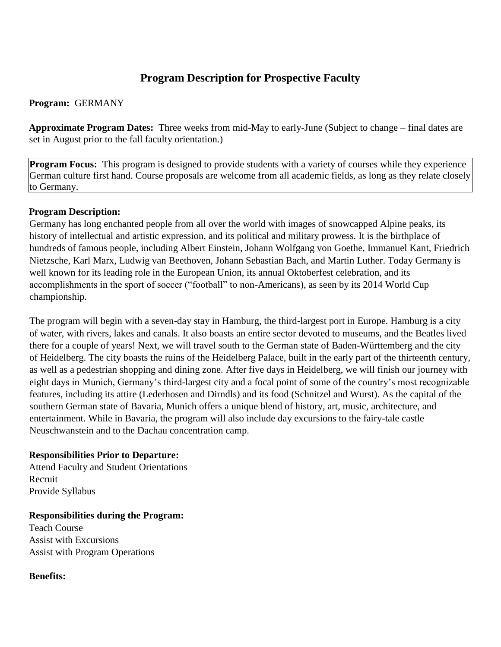# **Program Description for Prospective Faculty**

### **Program:** GERMANY

**Approximate Program Dates:** Three weeks from mid-May to early-June (Subject to change – final dates are set in August prior to the fall faculty orientation.)

**Program Focus:** This program is designed to provide students with a variety of courses while they experience German culture first hand. Course proposals are welcome from all academic fields, as long as they relate closely to Germany.

## **Program Description:**

Germany has long enchanted people from all over the world with images of snowcapped Alpine peaks, its history of intellectual and artistic expression, and its political and military prowess. It is the birthplace of hundreds of famous people, including Albert Einstein, Johann Wolfgang von Goethe, Immanuel Kant, Friedrich Nietzsche, Karl Marx, Ludwig van Beethoven, Johann Sebastian Bach, and Martin Luther. Today Germany is well known for its leading role in the European Union, its annual Oktoberfest celebration, and its accomplishments in the sport of soccer ("football" to non-Americans), as seen by its 2014 World Cup championship.

The program will begin with a seven-day stay in Hamburg, the third-largest port in Europe. Hamburg is a city of water, with rivers, lakes and canals. It also boasts an entire sector devoted to museums, and the Beatles lived there for a couple of years! Next, we will travel south to the German state of Baden-Württemberg and the city of Heidelberg. The city boasts the ruins of the Heidelberg Palace, built in the early part of the thirteenth century, as well as a pedestrian shopping and dining zone. After five days in Heidelberg, we will finish our journey with eight days in Munich, Germany's third-largest city and a focal point of some of the country's most recognizable features, including its attire (Lederhosen and Dirndls) and its food (Schnitzel and Wurst). As the capital of the southern German state of Bavaria, Munich offers a unique blend of history, art, music, architecture, and entertainment. While in Bavaria, the program will also include day excursions to the fairy-tale castle Neuschwanstein and to the Dachau concentration camp.

#### **Responsibilities Prior to Departure:**

Attend Faculty and Student Orientations Recruit Provide Syllabus

#### **Responsibilities during the Program:**

Teach Course Assist with Excursions Assist with Program Operations

#### **Benefits:**